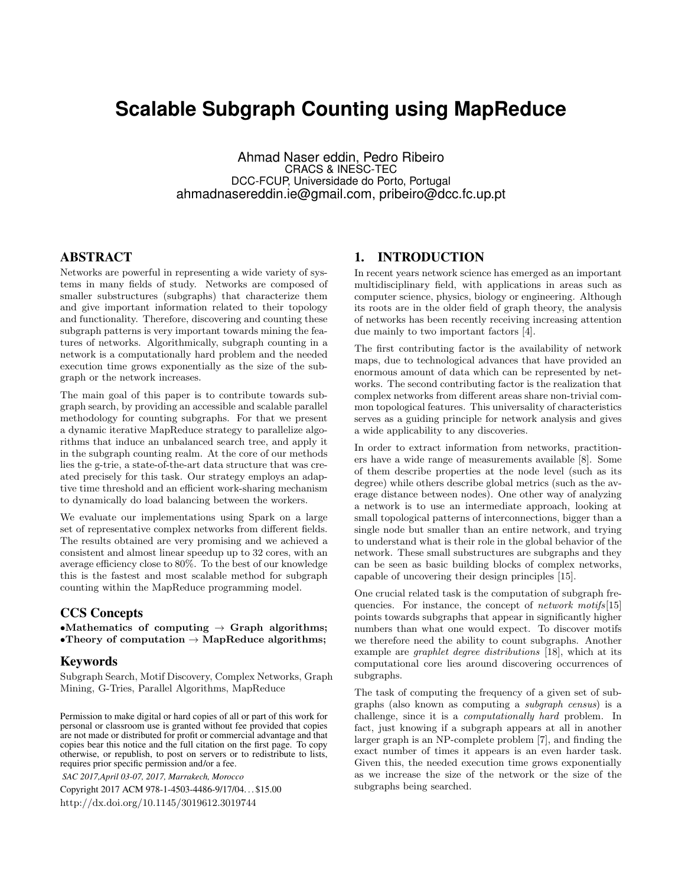# **Scalable Subgraph Counting using MapReduce**

Ahmad Naser eddin, Pedro Ribeiro CRACS & INESC-TEC DCC-FCUP, Universidade do Porto, Portugal ahmadnasereddin.ie@gmail.com, pribeiro@dcc.fc.up.pt

# ABSTRACT

Networks are powerful in representing a wide variety of systems in many fields of study. Networks are composed of smaller substructures (subgraphs) that characterize them and give important information related to their topology and functionality. Therefore, discovering and counting these subgraph patterns is very important towards mining the features of networks. Algorithmically, subgraph counting in a network is a computationally hard problem and the needed execution time grows exponentially as the size of the subgraph or the network increases.

The main goal of this paper is to contribute towards subgraph search, by providing an accessible and scalable parallel methodology for counting subgraphs. For that we present a dynamic iterative MapReduce strategy to parallelize algorithms that induce an unbalanced search tree, and apply it in the subgraph counting realm. At the core of our methods lies the g-trie, a state-of-the-art data structure that was created precisely for this task. Our strategy employs an adaptive time threshold and an efficient work-sharing mechanism to dynamically do load balancing between the workers.

We evaluate our implementations using Spark on a large set of representative complex networks from different fields. The results obtained are very promising and we achieved a consistent and almost linear speedup up to 32 cores, with an average efficiency close to 80%. To the best of our knowledge this is the fastest and most scalable method for subgraph counting within the MapReduce programming model.

## CCS Concepts

•Mathematics of computing  $\rightarrow$  Graph algorithms; •Theory of computation  $\rightarrow$  MapReduce algorithms;

## Keywords

Subgraph Search, Motif Discovery, Complex Networks, Graph Mining, G-Tries, Parallel Algorithms, MapReduce

Permission to make digital or hard copies of all or part of this work for personal or classroom use is granted without fee provided that copies are not made or distributed for profit or commercial advantage and that copies bear this notice and the full citation on the first page. To copy otherwise, or republish, to post on servers or to redistribute to lists, requires prior specific permission and/or a fee.

*SAC 2017,April 03-07, 2017, Marrakech, Morocco*

Copyright 2017 ACM 978-1-4503-4486-9/17/04. . . \$15.00 <http://dx.doi.org/10.1145/3019612.3019744>

# 1. INTRODUCTION

In recent years network science has emerged as an important multidisciplinary field, with applications in areas such as computer science, physics, biology or engineering. Although its roots are in the older field of graph theory, the analysis of networks has been recently receiving increasing attention due mainly to two important factors [\[4\]](#page-7-0).

The first contributing factor is the availability of network maps, due to technological advances that have provided an enormous amount of data which can be represented by networks. The second contributing factor is the realization that complex networks from different areas share non-trivial common topological features. This universality of characteristics serves as a guiding principle for network analysis and gives a wide applicability to any discoveries.

In order to extract information from networks, practitioners have a wide range of measurements available [\[8\]](#page-7-1). Some of them describe properties at the node level (such as its degree) while others describe global metrics (such as the average distance between nodes). One other way of analyzing a network is to use an intermediate approach, looking at small topological patterns of interconnections, bigger than a single node but smaller than an entire network, and trying to understand what is their role in the global behavior of the network. These small substructures are subgraphs and they can be seen as basic building blocks of complex networks, capable of uncovering their design principles [\[15\]](#page-7-2).

One crucial related task is the computation of subgraph frequencies. For instance, the concept of *network motifs*[\[15\]](#page-7-2) points towards subgraphs that appear in significantly higher numbers than what one would expect. To discover motifs we therefore need the ability to count subgraphs. Another example are graphlet degree distributions [\[18\]](#page-7-3), which at its computational core lies around discovering occurrences of subgraphs.

The task of computing the frequency of a given set of subgraphs (also known as computing a subgraph census) is a challenge, since it is a computationally hard problem. In fact, just knowing if a subgraph appears at all in another larger graph is an NP-complete problem [\[7\]](#page-7-4), and finding the exact number of times it appears is an even harder task. Given this, the needed execution time grows exponentially as we increase the size of the network or the size of the subgraphs being searched.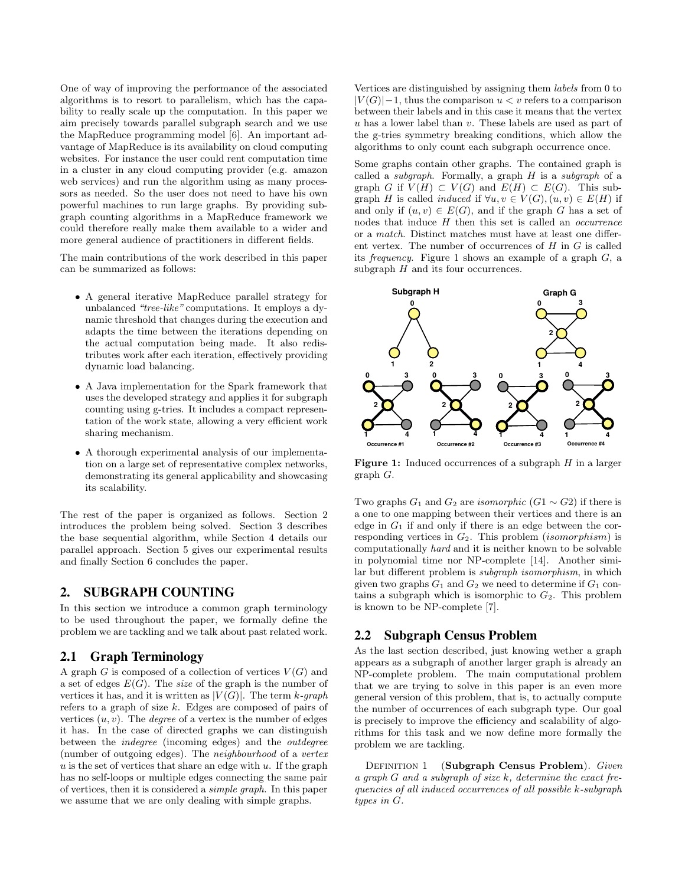One of way of improving the performance of the associated algorithms is to resort to parallelism, which has the capability to really scale up the computation. In this paper we aim precisely towards parallel subgraph search and we use the MapReduce programming model [\[6\]](#page-7-5). An important advantage of MapReduce is its availability on cloud computing websites. For instance the user could rent computation time in a cluster in any cloud computing provider (e.g. amazon web services) and run the algorithm using as many processors as needed. So the user does not need to have his own powerful machines to run large graphs. By providing subgraph counting algorithms in a MapReduce framework we could therefore really make them available to a wider and more general audience of practitioners in different fields.

The main contributions of the work described in this paper can be summarized as follows:

- A general iterative MapReduce parallel strategy for unbalanced "tree-like" computations. It employs a dynamic threshold that changes during the execution and adapts the time between the iterations depending on the actual computation being made. It also redistributes work after each iteration, effectively providing dynamic load balancing.
- A Java implementation for the Spark framework that uses the developed strategy and applies it for subgraph counting using g-tries. It includes a compact representation of the work state, allowing a very efficient work sharing mechanism.
- A thorough experimental analysis of our implementation on a large set of representative complex networks, demonstrating its general applicability and showcasing its scalability.

The rest of the paper is organized as follows. Section [2](#page-1-0) introduces the problem being solved. Section [3](#page-2-0) describes the base sequential algorithm, while Section [4](#page-3-0) details our parallel approach. Section [5](#page-5-0) gives our experimental results and finally Section [6](#page-7-6) concludes the paper.

## <span id="page-1-0"></span>2. SUBGRAPH COUNTING

In this section we introduce a common graph terminology to be used throughout the paper, we formally define the problem we are tackling and we talk about past related work.

#### 2.1 Graph Terminology

A graph  $G$  is composed of a collection of vertices  $V(G)$  and a set of edges  $E(G)$ . The *size* of the graph is the number of vertices it has, and it is written as  $|V(G)|$ . The term k-graph refers to a graph of size  $k$ . Edges are composed of pairs of vertices  $(u, v)$ . The *degree* of a vertex is the number of edges it has. In the case of directed graphs we can distinguish between the indegree (incoming edges) and the outdegree (number of outgoing edges). The neighbourhood of a vertex  $u$  is the set of vertices that share an edge with  $u$ . If the graph has no self-loops or multiple edges connecting the same pair of vertices, then it is considered a simple graph. In this paper we assume that we are only dealing with simple graphs.

Vertices are distinguished by assigning them labels from 0 to  $|V(G)|-1$ , thus the comparison  $u < v$  refers to a comparison between their labels and in this case it means that the vertex u has a lower label than v. These labels are used as part of the g-tries symmetry breaking conditions, which allow the algorithms to only count each subgraph occurrence once.

Some graphs contain other graphs. The contained graph is called a *subgraph*. Formally, a graph  $H$  is a *subgraph* of a graph G if  $V(H) \subset V(G)$  and  $E(H) \subset E(G)$ . This subgraph H is called *induced* if  $\forall u, v \in V(G), (u, v) \in E(H)$  if and only if  $(u, v) \in E(G)$ , and if the graph G has a set of nodes that induce  $H$  then this set is called an *occurrence* or a match. Distinct matches must have at least one different vertex. The number of occurrences of  $H$  in  $G$  is called its *frequency*. Figure [1](#page-1-1) shows an example of a graph  $G$ , a subgraph  $H$  and its four occurrences.

<span id="page-1-1"></span>

**Figure 1:** Induced occurrences of a subgraph  $H$  in a larger graph G.

Two graphs  $G_1$  and  $G_2$  are *isomorphic* ( $G_1 \sim G_2$ ) if there is a one to one mapping between their vertices and there is an edge in  $G_1$  if and only if there is an edge between the corresponding vertices in  $G_2$ . This problem *(isomorphism)* is computationally hard and it is neither known to be solvable in polynomial time nor NP-complete [\[14\]](#page-7-7). Another similar but different problem is subgraph isomorphism, in which given two graphs  $G_1$  and  $G_2$  we need to determine if  $G_1$  contains a subgraph which is isomorphic to  $G_2$ . This problem is known to be NP-complete [\[7\]](#page-7-4).

## 2.2 Subgraph Census Problem

As the last section described, just knowing wether a graph appears as a subgraph of another larger graph is already an NP-complete problem. The main computational problem that we are trying to solve in this paper is an even more general version of this problem, that is, to actually compute the number of occurrences of each subgraph type. Our goal is precisely to improve the efficiency and scalability of algorithms for this task and we now define more formally the problem we are tackling.

DEFINITION 1 (Subgraph Census Problem). Given a graph G and a subgraph of size k, determine the exact frequencies of all induced occurrences of all possible k-subgraph types in G.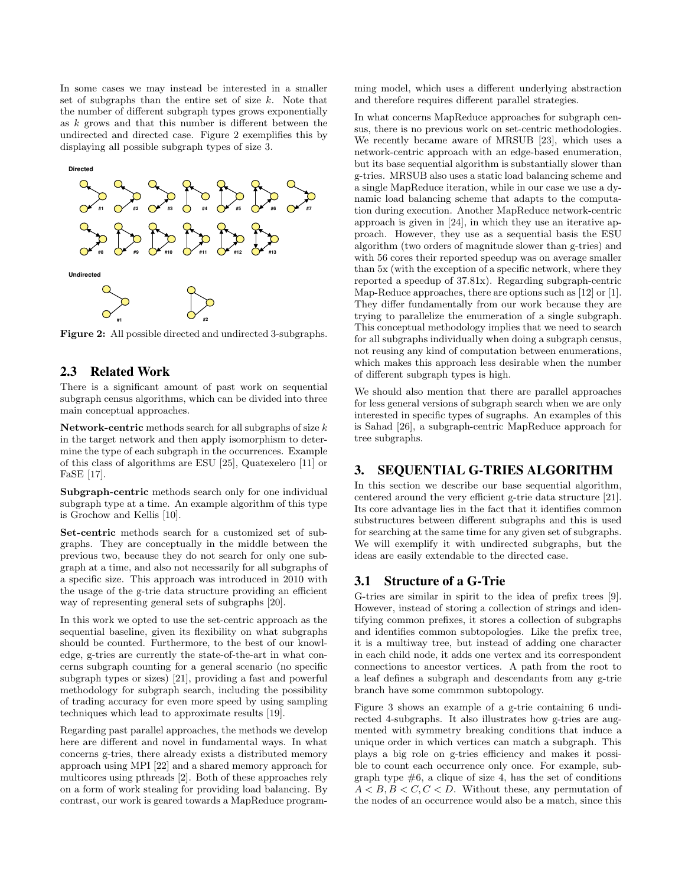In some cases we may instead be interested in a smaller set of subgraphs than the entire set of size  $k$ . Note that the number of different subgraph types grows exponentially as  $k$  grows and that this number is different between the undirected and directed case. Figure [2](#page-2-1) exemplifies this by displaying all possible subgraph types of size 3.

<span id="page-2-1"></span>

Figure 2: All possible directed and undirected 3-subgraphs.

#### <span id="page-2-2"></span>2.3 Related Work

There is a significant amount of past work on sequential subgraph census algorithms, which can be divided into three main conceptual approaches.

Network-centric methods search for all subgraphs of size  $k$ in the target network and then apply isomorphism to determine the type of each subgraph in the occurrences. Example of this class of algorithms are ESU [\[25\]](#page-7-8), Quatexelero [\[11\]](#page-7-9) or FaSE [\[17\]](#page-7-10).

Subgraph-centric methods search only for one individual subgraph type at a time. An example algorithm of this type is Grochow and Kellis [\[10\]](#page-7-11).

Set-centric methods search for a customized set of subgraphs. They are conceptually in the middle between the previous two, because they do not search for only one subgraph at a time, and also not necessarily for all subgraphs of a specific size. This approach was introduced in 2010 with the usage of the g-trie data structure providing an efficient way of representing general sets of subgraphs [\[20\]](#page-7-12).

In this work we opted to use the set-centric approach as the sequential baseline, given its flexibility on what subgraphs should be counted. Furthermore, to the best of our knowledge, g-tries are currently the state-of-the-art in what concerns subgraph counting for a general scenario (no specific subgraph types or sizes) [\[21\]](#page-7-13), providing a fast and powerful methodology for subgraph search, including the possibility of trading accuracy for even more speed by using sampling techniques which lead to approximate results [\[19\]](#page-7-14).

Regarding past parallel approaches, the methods we develop here are different and novel in fundamental ways. In what concerns g-tries, there already exists a distributed memory approach using MPI [\[22\]](#page-7-15) and a shared memory approach for multicores using pthreads [\[2\]](#page-7-16). Both of these approaches rely on a form of work stealing for providing load balancing. By contrast, our work is geared towards a MapReduce programming model, which uses a different underlying abstraction and therefore requires different parallel strategies.

In what concerns MapReduce approaches for subgraph census, there is no previous work on set-centric methodologies. We recently became aware of MRSUB [\[23\]](#page-7-17), which uses a network-centric approach with an edge-based enumeration, but its base sequential algorithm is substantially slower than g-tries. MRSUB also uses a static load balancing scheme and a single MapReduce iteration, while in our case we use a dynamic load balancing scheme that adapts to the computation during execution. Another MapReduce network-centric approach is given in [\[24\]](#page-7-18), in which they use an iterative approach. However, they use as a sequential basis the ESU algorithm (two orders of magnitude slower than g-tries) and with 56 cores their reported speedup was on average smaller than 5x (with the exception of a specific network, where they reported a speedup of 37.81x). Regarding subgraph-centric Map-Reduce approaches, there are options such as [\[12\]](#page-7-19) or [\[1\]](#page-7-20). They differ fundamentally from our work because they are trying to parallelize the enumeration of a single subgraph. This conceptual methodology implies that we need to search for all subgraphs individually when doing a subgraph census, not reusing any kind of computation between enumerations, which makes this approach less desirable when the number of different subgraph types is high.

We should also mention that there are parallel approaches for less general versions of subgraph search when we are only interested in specific types of sugraphs. An examples of this is Sahad [\[26\]](#page-7-21), a subgraph-centric MapReduce approach for tree subgraphs.

# <span id="page-2-0"></span>3. SEQUENTIAL G-TRIES ALGORITHM

In this section we describe our base sequential algorithm, centered around the very efficient g-trie data structure [\[21\]](#page-7-13). Its core advantage lies in the fact that it identifies common substructures between different subgraphs and this is used for searching at the same time for any given set of subgraphs. We will exemplify it with undirected subgraphs, but the ideas are easily extendable to the directed case.

#### 3.1 Structure of a G-Trie

G-tries are similar in spirit to the idea of prefix trees [\[9\]](#page-7-22). However, instead of storing a collection of strings and identifying common prefixes, it stores a collection of subgraphs and identifies common subtopologies. Like the prefix tree, it is a multiway tree, but instead of adding one character in each child node, it adds one vertex and its correspondent connections to ancestor vertices. A path from the root to a leaf defines a subgraph and descendants from any g-trie branch have some commmon subtopology.

Figure [3](#page-3-1) shows an example of a g-trie containing 6 undirected 4-subgraphs. It also illustrates how g-tries are augmented with symmetry breaking conditions that induce a unique order in which vertices can match a subgraph. This plays a big role on g-tries efficiency and makes it possible to count each occurrence only once. For example, subgraph type  $#6$ , a clique of size 4, has the set of conditions  $A < B, B < C, C < D$ . Without these, any permutation of the nodes of an occurrence would also be a match, since this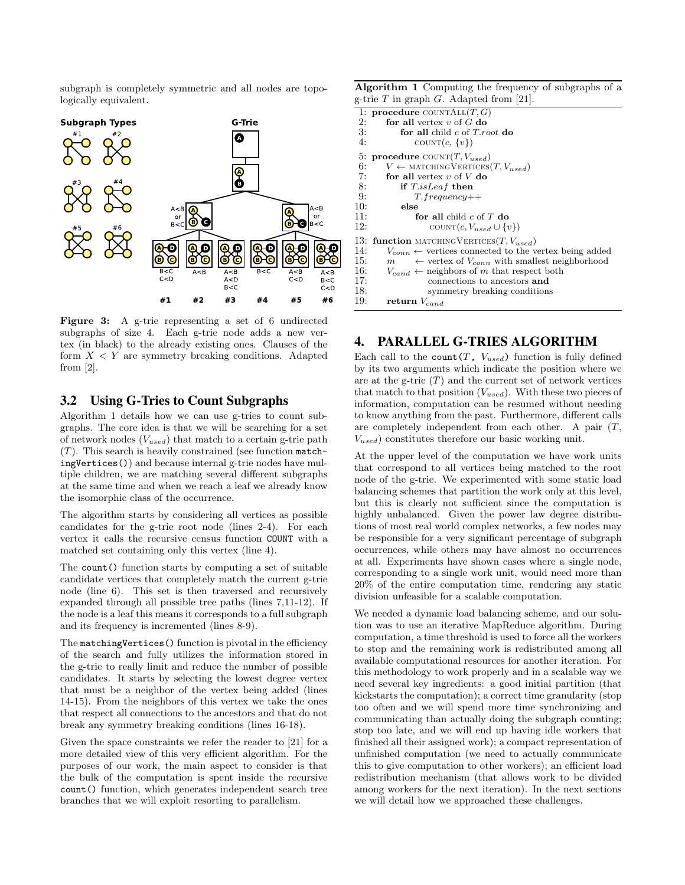subgraph is completely symmetric and all nodes are topologically equivalent.

<span id="page-3-1"></span>

Figure 3: A g-trie representing a set of 6 undirected subgraphs of size 4. Each g-trie node adds a new vertex (in black) to the already existing ones. Clauses of the form  $X \leq Y$  are symmetry breaking conditions. Adapted from  $[2]$ .

#### 3.2 Using G-Tries to Count Subgraphs

Algorithm [1](#page-3-2) details how we can use g-tries to count subgraphs. The core idea is that we will be searching for a set of network nodes  $(V_{used})$  that match to a certain g-trie path  $(T)$ . This search is heavily constrained (see function matchingVertices()) and because internal g-trie nodes have multiple children, we are matching several different subgraphs at the same time and when we reach a leaf we already know the isomorphic class of the occurrence.

The algorithm starts by considering all vertices as possible candidates for the g-trie root node (lines 2-4). For each vertex it calls the recursive census function COUNT with a matched set containing only this vertex (line 4).

The count() function starts by computing a set of suitable candidate vertices that completely match the current g-trie node (line 6). This set is then traversed and recursively expanded through all possible tree paths (lines 7,11-12). If the node is a leaf this means it corresponds to a full subgraph and its frequency is incremented (lines 8-9).

The matchingVertices() function is pivotal in the efficiency of the search and fully utilizes the information stored in the g-trie to really limit and reduce the number of possible candidates. It starts by selecting the lowest degree vertex that must be a neighbor of the vertex being added (lines 14-15). From the neighbors of this vertex we take the ones that respect all connections to the ancestors and that do not break any symmetry breaking conditions (lines 16-18).

Given the space constraints we refer the reader to [\[21\]](#page-7-13) for a more detailed view of this very efficient algorithm. For the purposes of our work, the main aspect to consider is that the bulk of the computation is spent inside the recursive count() function, which generates independent search tree branches that we will exploit resorting to parallelism.

<span id="page-3-2"></span>Algorithm 1 Computing the frequency of subgraphs of a g-trie  $T$  in graph  $G$ . Adapted from [\[21\]](#page-7-13).

|     | $\sim$ 0.10 $\pm$ 111 $\sim$ 100 $\mu$ 0. 11 000 000 11 011 $\mu$ 1. |
|-----|----------------------------------------------------------------------|
|     | 1: procedure COUNTALL $(T, G)$                                       |
| 2:  | for all vertex $v$ of $G$ do                                         |
| 3:  | for all child $c$ of $T$ <i>root</i> do                              |
| 4:  | COUNT $(c, \{v\})$                                                   |
|     | 5: procedure COUNT $(T, V_{used})$                                   |
| 6:  | $V \leftarrow$ MATCHING VERTICES $(T, V_{used})$                     |
| 7:  | for all vertex $v$ of $V$ do                                         |
| 8:  | if T.isLeaf then                                                     |
| 9:  | $T. frequency++$                                                     |
| 10: | else                                                                 |
| 11: | for all child $c$ of $T$ do                                          |
| 12: | COUNT $(c, V_{used} \cup \{v\})$                                     |
|     | 13: function MATCHING VERTICES $(T, V_{used})$                       |
| 14: | $V_{conn} \leftarrow$ vertices connected to the vertex being added   |
| 15: | $\leftarrow$ vertex of $V_{conn}$ with smallest neighborhood<br>m    |
| 16: | $V_{cand} \leftarrow$ neighbors of m that respect both               |
| 17: | connections to ancestors and                                         |
| 18: | symmetry breaking conditions                                         |
| 19: | return $V_{cand}$                                                    |

## <span id="page-3-0"></span>4. PARALLEL G-TRIES ALGORITHM

Each call to the count  $(T, V_{used})$  function is fully defined by its two arguments which indicate the position where we are at the g-trie  $(T)$  and the current set of network vertices that match to that position  $(V_{used})$ . With these two pieces of information, computation can be resumed without needing to know anything from the past. Furthermore, different calls are completely independent from each other. A pair  $(T, \mathcal{L})$  $V_{used}$ ) constitutes therefore our basic working unit.

At the upper level of the computation we have work units that correspond to all vertices being matched to the root node of the g-trie. We experimented with some static load balancing schemes that partition the work only at this level, but this is clearly not sufficient since the computation is highly unbalanced. Given the power law degree distributions of most real world complex networks, a few nodes may be responsible for a very significant percentage of subgraph occurrences, while others may have almost no occurrences at all. Experiments have shown cases where a single node, corresponding to a single work unit, would need more than 20% of the entire computation time, rendering any static division unfeasible for a scalable computation.

We needed a dynamic load balancing scheme, and our solution was to use an iterative MapReduce algorithm. During computation, a time threshold is used to force all the workers to stop and the remaining work is redistributed among all available computational resources for another iteration. For this methodology to work properly and in a scalable way we need several key ingredients: a good initial partition (that kickstarts the computation); a correct time granularity (stop too often and we will spend more time synchronizing and communicating than actually doing the subgraph counting; stop too late, and we will end up having idle workers that finished all their assigned work); a compact representation of unfinished computation (we need to actually communicate this to give computation to other workers); an efficient load redistribution mechanism (that allows work to be divided among workers for the next iteration). In the next sections we will detail how we approached these challenges.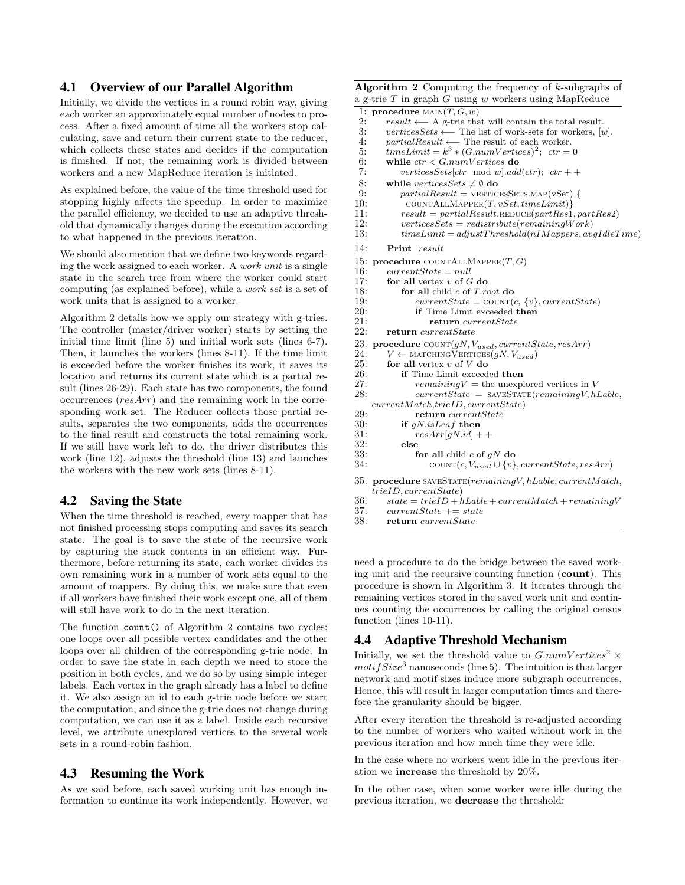# 4.1 Overview of our Parallel Algorithm

Initially, we divide the vertices in a round robin way, giving each worker an approximately equal number of nodes to process. After a fixed amount of time all the workers stop calculating, save and return their current state to the reducer, which collects these states and decides if the computation is finished. If not, the remaining work is divided between workers and a new MapReduce iteration is initiated.

As explained before, the value of the time threshold used for stopping highly affects the speedup. In order to maximize the parallel efficiency, we decided to use an adaptive threshold that dynamically changes during the execution according to what happened in the previous iteration.

We should also mention that we define two keywords regarding the work assigned to each worker. A work unit is a single state in the search tree from where the worker could start computing (as explained before), while a work set is a set of work units that is assigned to a worker.

Algorithm [2](#page-4-0) details how we apply our strategy with g-tries. The controller (master/driver worker) starts by setting the initial time limit (line 5) and initial work sets (lines 6-7). Then, it launches the workers (lines 8-11). If the time limit is exceeded before the worker finishes its work, it saves its location and returns its current state which is a partial result (lines 26-29). Each state has two components, the found occurrences (resArr) and the remaining work in the corresponding work set. The Reducer collects those partial results, separates the two components, adds the occurrences to the final result and constructs the total remaining work. If we still have work left to do, the driver distributes this work (line 12), adjusts the threshold (line 13) and launches the workers with the new work sets (lines 8-11).

#### 4.2 Saving the State

When the time threshold is reached, every mapper that has not finished processing stops computing and saves its search state. The goal is to save the state of the recursive work by capturing the stack contents in an efficient way. Furthermore, before returning its state, each worker divides its own remaining work in a number of work sets equal to the amount of mappers. By doing this, we make sure that even if all workers have finished their work except one, all of them will still have work to do in the next iteration.

The function count() of Algorithm [2](#page-4-0) contains two cycles: one loops over all possible vertex candidates and the other loops over all children of the corresponding g-trie node. In order to save the state in each depth we need to store the position in both cycles, and we do so by using simple integer labels. Each vertex in the graph already has a label to define it. We also assign an id to each g-trie node before we start the computation, and since the g-trie does not change during computation, we can use it as a label. Inside each recursive level, we attribute unexplored vertices to the several work sets in a round-robin fashion.

#### 4.3 Resuming the Work

As we said before, each saved working unit has enough information to continue its work independently. However, we <span id="page-4-0"></span>Algorithm  $2$  Computing the frequency of  $k$ -subgraphs of a g-trie  $T$  in graph  $G$  using  $w$  workers using MapReduce

```
1: procedure MAIN(T, G, w)<br>2: result \leftarrow A g-trie tha
 2: result ←− A g-trie that will contain the total result.
 3: verticesSets ← The list of work-sets for workers, [w].<br>4: partialResult ← The result of each worker.
 4: partialResult ← The result of each worker.<br>5. timeLimit = k^3 * (GnumVertices)^2 ctr =5: timeLimit = k^3 * (G.numVertices)^2; ctr = 06: while ctr < G.numVertices do 7: vertices Sets [ctr mod w].ada
              verticesSets[ctr mod w].add(ctr); ctr + +
 8: while vertices Sets \neq \emptyset do
9: partialResult = VERTICESSETS.MAP(vSet) \{ 10: COUNTALLMAPPER(T, vSet, timeLimit) \}\text{COUNTALLMAPPER}(T, vSet, timeLimit)11: result = partialResult.RESult.REDuce(partRes1, partRes2)<br>12: verticesSets = redistribute(remainingWork)12: verticesSets = redistribute(remainingWork)<br>13: timeLimit = adjustThreshold(nIMappers, av
               timeLimit = adjustThreshold(nIMappers, avgIdleTime)14: Print result
15: procedure COUNTALLMAPPER(T, G)<br>16: currentState = null
          currentState = null17: for all vertex v of G do
18: for all child c of T.root do<br>19: currentState = COUNT(19: currentState = COUNT(c, \{v\}, currentState)<br>20: if Time Limit exceeded then
20: if Time Limit exceeded then<br>21: if the interval term currentState
21: return currentState<br>22: return currentStatereturn \ currentState23: procedure \text{COUNT}(gN, V_{used}, currentState, resArr)<br>24: V \leftarrow \text{MACHINGVERTCES}(gN, V_{used})24: V \leftarrow \text{MATCHING}\check{V}ERTICES(gN, V_{used})<br>25: for all vertex v of V do
25: for all vertex v of V do 26: if Time Limit exceed
26: if Time Limit exceeded then<br>27: remaininaV = the unexpl
                   remainingV = the unexplored vertices in V
28: currentState = SAVESTATE(remainingV, hLable,
     currentMatch,trieID, currentState)
29: return current State<br>30: if qN.isLeaf then
30: if gN.isLeaf then<br>31: resArr[aN.id] +resArr [gN.id] ++\begin{array}{ccc} 32: & \text{else} \\ 33: & \text{f} \end{array}for all child c of qN do
34: \text{COUNT}(c, V_{used} \cup \{v\}, currentState, resArr)35: procedure saveState(remainingV, hLable, currentMatch,
     trieID, currentState)
36: state = trieID + hLabelte + currentMatch + remainingV<br>37: currentState += statecurrentState += state
```
38: return currentState

need a procedure to do the bridge between the saved working unit and the recursive counting function (count). This procedure is shown in Algorithm [3.](#page-5-1) It iterates through the remaining vertices stored in the saved work unit and continues counting the occurrences by calling the original census function (lines 10-11).

#### 4.4 Adaptive Threshold Mechanism

Initially, we set the threshold value to  $GnumVertices^2 \times$  $motifSize<sup>3</sup>$  nanoseconds (line 5). The intuition is that larger network and motif sizes induce more subgraph occurrences. Hence, this will result in larger computation times and therefore the granularity should be bigger.

After every iteration the threshold is re-adjusted according to the number of workers who waited without work in the previous iteration and how much time they were idle.

In the case where no workers went idle in the previous iteration we increase the threshold by 20%.

In the other case, when some worker were idle during the previous iteration, we decrease the threshold: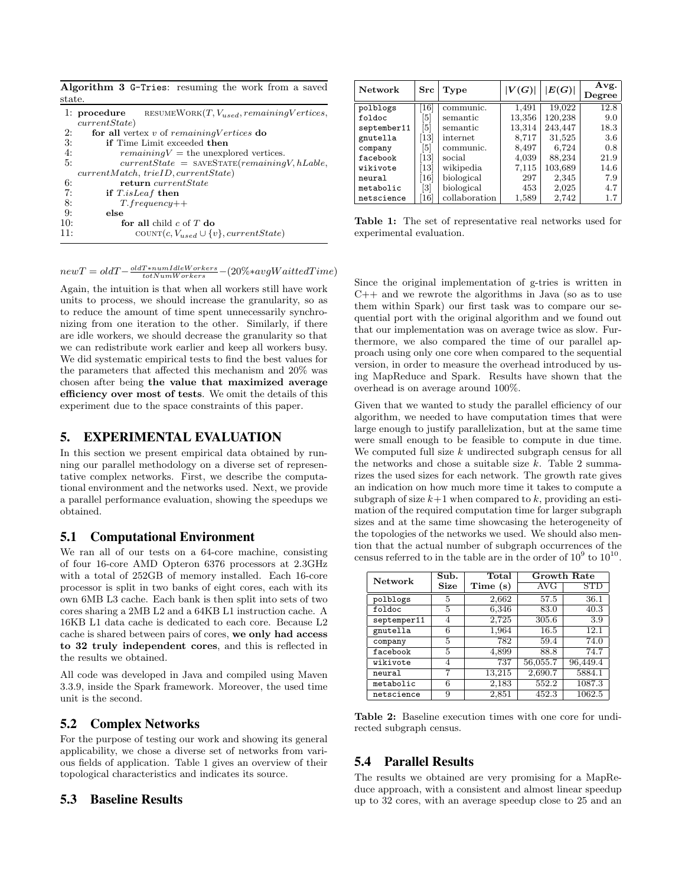<span id="page-5-1"></span>

| Algorithm 3 G-Tries: resuming the work from a saved |  |  |  |  |
|-----------------------------------------------------|--|--|--|--|
| state.                                              |  |  |  |  |

|     | 1: procedure RESUMEWORK $(T, V_{used}, remainingVertices)$ |
|-----|------------------------------------------------------------|
|     | currentState)                                              |
| 2:  | for all vertex $v$ of remaining Vertices do                |
| 3:  | <b>if</b> Time Limit exceeded <b>then</b>                  |
| 4:  | $remainingV =$ the unexplored vertices.                    |
| 5:  | $currentState =$ SAVESTATE(remainingV, hLable,             |
|     | currentMatch, trialD, currentState)                        |
| 6:  | return <i>currentState</i>                                 |
| 7:  | if T.isLeaf then                                           |
| 8:  | $T. frequency++$                                           |
| 9:  | else                                                       |
| 10: | for all child $c$ of T do                                  |
| 11: | COUNT $(c, V_{used} \cup \{v\}, currentState)$             |

<span id="page-5-2"></span>

| <b>Network</b><br>$_{\rm Src}$ |                              | Type          | V(G)   | E(G)    | Avg.<br>$\bf Degree$ |
|--------------------------------|------------------------------|---------------|--------|---------|----------------------|
| polblogs                       | $\left[16\right]$            | communic.     | 1,491  | 19,022  | 12.8                 |
| foldoc                         | 51                           | semantic      | 13,356 | 120,238 | 9.0                  |
| september11                    | 51                           | semantic      | 13,314 | 243,447 | 18.3                 |
| gnutella                       | $\left\lceil 13\right\rceil$ | internet      | 8.717  | 31,525  | 3.6                  |
| company                        | 51                           | communic.     | 8,497  | 6,724   | 0.8                  |
| facebook                       | $\left\lceil 13\right\rceil$ | social        | 4,039  | 88,234  | 21.9                 |
| wikivote                       | 13                           | wikipedia     | 7,115  | 103,689 | 14.6                 |
| neural                         | 16                           | biological    | 297    | 2,345   | 7.9                  |
| metabolic                      | [3]                          | biological    | 453    | 2,025   | 4.7                  |
| netscience                     | $\left[16\right]$            | collaboration | 1,589  | 2,742   | 1.7                  |

Table 1: The set of representative real networks used for experimental evaluation.

Since the original implementation of g-tries is written in  $C++$  and we rewrote the algorithms in Java (so as to use them within Spark) our first task was to compare our sequential port with the original algorithm and we found out that our implementation was on average twice as slow. Furthermore, we also compared the time of our parallel approach using only one core when compared to the sequential version, in order to measure the overhead introduced by using MapReduce and Spark. Results have shown that the overhead is on average around 100%.

Given that we wanted to study the parallel efficiency of our algorithm, we needed to have computation times that were large enough to justify parallelization, but at the same time were small enough to be feasible to compute in due time. We computed full size  $k$  undirected subgraph census for all the networks and chose a suitable size  $k$ . Table [2](#page-5-3) summarizes the used sizes for each network. The growth rate gives an indication on how much more time it takes to compute a subgraph of size  $k+1$  when compared to k, providing an estimation of the required computation time for larger subgraph sizes and at the same time showcasing the heterogeneity of the topologies of the networks we used. We should also mention that the actual number of subgraph occurrences of the census referred to in the table are in the order of  $10^9$  to  $10^{10}$ .

<span id="page-5-3"></span>

| Network     | $\overline{\text{Sub}}$ . | Total    |                      | <b>Growth Rate</b> |
|-------------|---------------------------|----------|----------------------|--------------------|
|             | Size                      | Time (s) | $\operatorname{AVG}$ | $_{\mathrm{STD}}$  |
| polblogs    | 5                         | 2,662    | 57.5                 | 36.1               |
| foldoc      | 5                         | 6,346    | 83.0                 | 40.3               |
| septemper11 | 4                         | 2,725    | 305.6                | 3.9                |
| gnutella    | 6                         | 1,964    | 16.5                 | 12.1               |
| company     | 5                         | 782      | 59.4                 | 74.0               |
| facebook    | 5                         | 4,899    | 88.8                 | 74.7               |
| wikivote    | 4                         | 737      | 56,055.7             | 96,449.4           |
| neural      |                           | 13,215   | 2,690.7              | 5884.1             |
| metabolic   | 6                         | 2,183    | 552.2                | 1087.3             |
| netscience  | 9                         | 2,851    | 452.3                | 1062.5             |

Table 2: Baseline execution times with one core for undirected subgraph census.

# 5.4 Parallel Results

The results we obtained are very promising for a MapReduce approach, with a consistent and almost linear speedup up to 32 cores, with an average speedup close to 25 and an

 $newT = oldT - \frac{oldT * numIdleWorks}{totNumWorks} - (20\% * avgWaittedTime)$ 

Again, the intuition is that when all workers still have work units to process, we should increase the granularity, so as to reduce the amount of time spent unnecessarily synchronizing from one iteration to the other. Similarly, if there are idle workers, we should decrease the granularity so that we can redistribute work earlier and keep all workers busy. We did systematic empirical tests to find the best values for the parameters that affected this mechanism and 20% was chosen after being the value that maximized average efficiency over most of tests. We omit the details of this experiment due to the space constraints of this paper.

# <span id="page-5-0"></span>5. EXPERIMENTAL EVALUATION

In this section we present empirical data obtained by running our parallel methodology on a diverse set of representative complex networks. First, we describe the computational environment and the networks used. Next, we provide a parallel performance evaluation, showing the speedups we obtained.

# 5.1 Computational Environment

We ran all of our tests on a 64-core machine, consisting of four 16-core AMD Opteron 6376 processors at 2.3GHz with a total of 252GB of memory installed. Each 16-core processor is split in two banks of eight cores, each with its own 6MB L3 cache. Each bank is then split into sets of two cores sharing a 2MB L2 and a 64KB L1 instruction cache. A 16KB L1 data cache is dedicated to each core. Because L2 cache is shared between pairs of cores, we only had access to 32 truly independent cores, and this is reflected in the results we obtained.

All code was developed in Java and compiled using Maven 3.3.9, inside the Spark framework. Moreover, the used time unit is the second.

# 5.2 Complex Networks

For the purpose of testing our work and showing its general applicability, we chose a diverse set of networks from various fields of application. Table [1](#page-5-2) gives an overview of their topological characteristics and indicates its source.

# 5.3 Baseline Results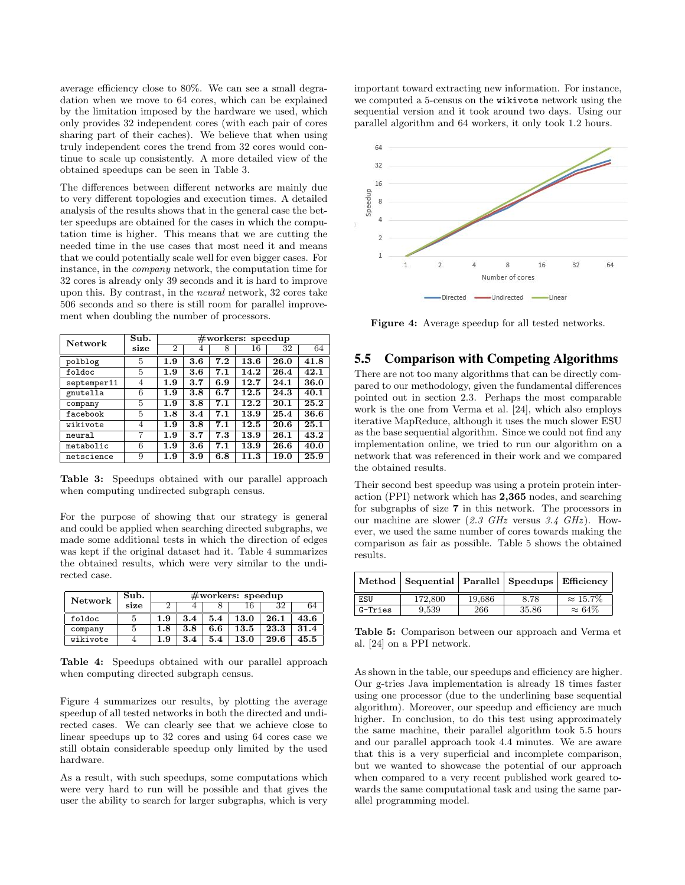average efficiency close to 80%. We can see a small degradation when we move to 64 cores, which can be explained by the limitation imposed by the hardware we used, which only provides 32 independent cores (with each pair of cores sharing part of their caches). We believe that when using truly independent cores the trend from 32 cores would continue to scale up consistently. A more detailed view of the obtained speedups can be seen in Table [3.](#page-6-0)

The differences between different networks are mainly due to very different topologies and execution times. A detailed analysis of the results shows that in the general case the better speedups are obtained for the cases in which the computation time is higher. This means that we are cutting the needed time in the use cases that most need it and means that we could potentially scale well for even bigger cases. For instance, in the company network, the computation time for 32 cores is already only 39 seconds and it is hard to improve upon this. By contrast, in the neural network, 32 cores take 506 seconds and so there is still room for parallel improvement when doubling the number of processors.

<span id="page-6-0"></span>

| Network     | Sub. |     | #works:<br>speedup |     |      |      |      |  |
|-------------|------|-----|--------------------|-----|------|------|------|--|
|             | size | 2   | 4                  | 8   | 16   | 32   | 64   |  |
| polblog     | 5    | 1.9 | 3.6                | 7.2 | 13.6 | 26.0 | 41.8 |  |
| foldoc      | 5    | 1.9 | 3.6                | 7.1 | 14.2 | 26.4 | 42.1 |  |
| septemper11 | 4    | 1.9 | 3.7                | 6.9 | 12.7 | 24.1 | 36.0 |  |
| gnutella    | 6    | 1.9 | 3.8                | 6.7 | 12.5 | 24.3 | 40.1 |  |
| company     | 5    | 1.9 | 3.8                | 7.1 | 12.2 | 20.1 | 25.2 |  |
| facebook    | 5    | 1.8 | 3.4                | 7.1 | 13.9 | 25.4 | 36.6 |  |
| wikivote    | 4    | 1.9 | 3.8                | 7.1 | 12.5 | 20.6 | 25.1 |  |
| neural      | 7    | 1.9 | 3.7                | 7.3 | 13.9 | 26.1 | 43.2 |  |
| metabolic   | 6    | 1.9 | 3.6                | 7.1 | 13.9 | 26.6 | 40.0 |  |
| netscience  | 9    | 1.9 | 3.9                | 6.8 | 11.3 | 19.0 | 25.9 |  |

Table 3: Speedups obtained with our parallel approach when computing undirected subgraph census.

For the purpose of showing that our strategy is general and could be applied when searching directed subgraphs, we made some additional tests in which the direction of edges was kept if the original dataset had it. Table [4](#page-6-1) summarizes the obtained results, which were very similar to the undirected case.

<span id="page-6-1"></span>

| <b>Network</b> | Sub. | $\#$ workers: speedup |     |     |      |      |      |
|----------------|------|-----------------------|-----|-----|------|------|------|
|                | size |                       |     |     | 16   | 32   |      |
| foldoc         |      | 1.9                   | 3.4 | 5.4 | 13.0 | 26.1 | 43.6 |
| company        |      | 1.8                   | 3.8 | 6.6 | 13.5 | 23.3 | 31.4 |
| wikivote       |      | 1.9                   | 3.4 | 5.4 | 13.0 | 29.6 | 45.5 |

Table 4: Speedups obtained with our parallel approach when computing directed subgraph census.

Figure [4](#page-6-2) summarizes our results, by plotting the average speedup of all tested networks in both the directed and undirected cases. We can clearly see that we achieve close to linear speedups up to 32 cores and using 64 cores case we still obtain considerable speedup only limited by the used hardware.

As a result, with such speedups, some computations which were very hard to run will be possible and that gives the user the ability to search for larger subgraphs, which is very

important toward extracting new information. For instance, we computed a 5-census on the wikivote network using the sequential version and it took around two days. Using our parallel algorithm and 64 workers, it only took 1.2 hours.

<span id="page-6-2"></span>

Figure 4: Average speedup for all tested networks.

### 5.5 Comparison with Competing Algorithms

There are not too many algorithms that can be directly compared to our methodology, given the fundamental differences pointed out in section [2.3.](#page-2-2) Perhaps the most comparable work is the one from Verma et al. [\[24\]](#page-7-18), which also employs iterative MapReduce, although it uses the much slower ESU as the base sequential algorithm. Since we could not find any implementation online, we tried to run our algorithm on a network that was referenced in their work and we compared the obtained results.

Their second best speedup was using a protein protein interaction (PPI) network which has 2,365 nodes, and searching for subgraphs of size 7 in this network. The processors in our machine are slower  $(2.3 \text{ GHz})$  versus 3.4  $GHz$ ). However, we used the same number of cores towards making the comparison as fair as possible. Table [5](#page-6-3) shows the obtained results.

<span id="page-6-3"></span>

|         | Method   Sequential   Parallel   Speedups   Efficiency |        |       |                  |
|---------|--------------------------------------------------------|--------|-------|------------------|
| ESU     | 172,800                                                | 19,686 | 8.78  | $\approx 15.7\%$ |
| G-Tries | 9.539                                                  | 266    | 35.86 | $\approx 64\%$   |

Table 5: Comparison between our approach and Verma et al. [\[24\]](#page-7-18) on a PPI network.

As shown in the table, our speedups and efficiency are higher. Our g-tries Java implementation is already 18 times faster using one processor (due to the underlining base sequential algorithm). Moreover, our speedup and efficiency are much higher. In conclusion, to do this test using approximately the same machine, their parallel algorithm took 5.5 hours and our parallel approach took 4.4 minutes. We are aware that this is a very superficial and incomplete comparison, but we wanted to showcase the potential of our approach when compared to a very recent published work geared towards the same computational task and using the same parallel programming model.